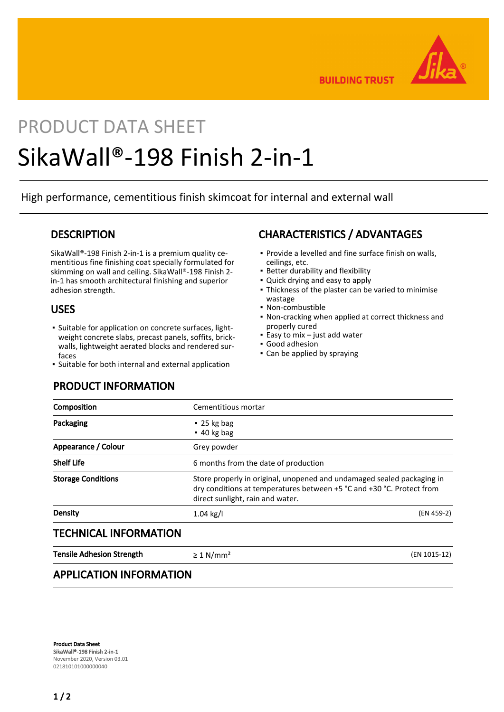

**BUILDING TRUST** 

# PRODUCT DATA SHEET SikaWall®-198 Finish 2-in-1

High performance, cementitious finish skimcoat for internal and external wall

## **DESCRIPTION**

SikaWall®-198 Finish 2-in-1 is a premium quality cementitious fine finishing coat specially formulated for skimming on wall and ceiling. SikaWall®-198 Finish 2 in-1 has smooth architectural finishing and superior adhesion strength.

## USES

- **•** Suitable for application on concrete surfaces, lightweight concrete slabs, precast panels, soffits, brickwalls, lightweight aerated blocks and rendered surfaces
- Suitable for both internal and external application

## PRODUCT INFORMATION

# CHARACTERISTICS / ADVANTAGES

- Provide a levelled and fine surface finish on walls, ceilings, etc.
- **Better durability and flexibility**
- Quick drying and easy to apply
- Thickness of the plaster can be varied to minimise wastage
- Non-combustible
- Non-cracking when applied at correct thickness and properly cured
- $\blacksquare$  Easy to mix just add water
- Good adhesion
- Can be applied by spraying

| Cementitious mortar                                                                                                                                                                 |              |
|-------------------------------------------------------------------------------------------------------------------------------------------------------------------------------------|--------------|
| $\cdot$ 25 kg bag<br>$-40$ kg bag                                                                                                                                                   |              |
| Grey powder                                                                                                                                                                         |              |
| 6 months from the date of production                                                                                                                                                |              |
| Store properly in original, unopened and undamaged sealed packaging in<br>dry conditions at temperatures between +5 °C and +30 °C. Protect from<br>direct sunlight, rain and water. |              |
| $1.04$ kg/l                                                                                                                                                                         | (EN 459-2)   |
|                                                                                                                                                                                     |              |
| $\geq 1$ N/mm <sup>2</sup>                                                                                                                                                          | (EN 1015-12) |
|                                                                                                                                                                                     |              |

## APPLICATION INFORMATION

Product Data Sheet SikaWall®-198 Finish 2-in-1 November 2020, Version 03.01 021810101000000040